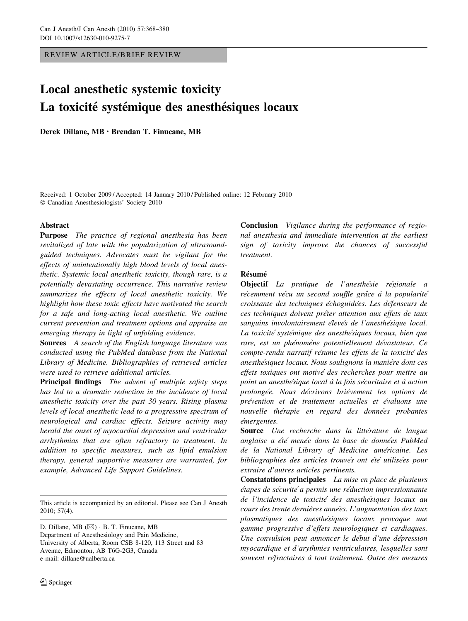REVIEW ARTICLE/BRIEF REVIEW

# Local anesthetic systemic toxicity La toxicité systémique des anesthésiques locaux

Derek Dillane, MB *•* Brendan T. Finucane, MB

Received: 1 October 2009 / Accepted: 14 January 2010 / Published online: 12 February 2010 Canadian Anesthesiologists' Society 2010

# Abstract

**Purpose** The practice of regional anesthesia has been revitalized of late with the popularization of ultrasoundguided techniques. Advocates must be vigilant for the effects of unintentionally high blood levels of local anesthetic. Systemic local anesthetic toxicity, though rare, is a potentially devastating occurrence. This narrative review summarizes the effects of local anesthetic toxicity. We highlight how these toxic effects have motivated the search for a safe and long-acting local anesthetic. We outline current prevention and treatment options and appraise an emerging therapy in light of unfolding evidence.

Sources A search of the English language literature was conducted using the PubMed database from the National Library of Medicine. Bibliographies of retrieved articles were used to retrieve additional articles.

Principal findings The advent of multiple safety steps has led to a dramatic reduction in the incidence of local anesthetic toxicity over the past 30 years. Rising plasma levels of local anesthetic lead to a progressive spectrum of neurological and cardiac effects. Seizure activity may herald the onset of myocardial depression and ventricular arrhythmias that are often refractory to treatment. In addition to specific measures, such as lipid emulsion therapy, general supportive measures are warranted, for example, Advanced Life Support Guidelines.

This article is accompanied by an editorial. Please see Can J Anesth 2010; 57(4).

D. Dillane, MB ( $\boxtimes$ ) · B. T. Finucane, MB Department of Anesthesiology and Pain Medicine, University of Alberta, Room CSB 8-120, 113 Street and 83 Avenue, Edmonton, AB T6G-2G3, Canada e-mail: dillane@ualberta.ca

Conclusion Vigilance during the performance of regional anesthesia and immediate intervention at the earliest sign of toxicity improve the chances of successful treatment.

# Résumé

Objectif La pratique de l'anesthésie régionale a récemment vécu un second souffle grâce à la popularité croissante des techniques échoguidées. Les défenseurs de ces techniques doivent prêter attention aux effets de taux sanguins involontairement eleve's de l'anesthe'sique local. La toxicité systémique des anesthésiques locaux, bien que rare, est un phénomène potentiellement dévastateur. Ce compte-rendu narratif résume les effets de la toxicité des anesthésiques locaux. Nous soulignons la manière dont ces effets toxiques ont motive´ des recherches pour mettre au point un anesthésique local à la fois sécuritaire et à action prolongée. Nous décrivons brièvement les options de prévention et de traitement actuelles et évaluons une nouvelle thérapie en regard des données probantes e´mergentes.

Source Une recherche dans la littérature de langue anglaise a été menée dans la base de données PubMed de la National Library of Medicine américaine. Les bibliographies des articles trouvés ont été utilisées pour extraire d'autres articles pertinents.

Constatations principales La mise en place de plusieurs e´tapes de se´curite´ a permis une re´duction impressionnante de l'incidence de toxicité des anesthésiques locaux au cours des trente dernières années. L'augmentation des taux plasmatiques des anesthe´siques locaux provoque une gamme progressive d'effets neurologiques et cardiaques. Une convulsion peut annoncer le début d'une dépression myocardique et d'arythmies ventriculaires, lesquelles sont souvent réfractaires à tout traitement. Outre des mesures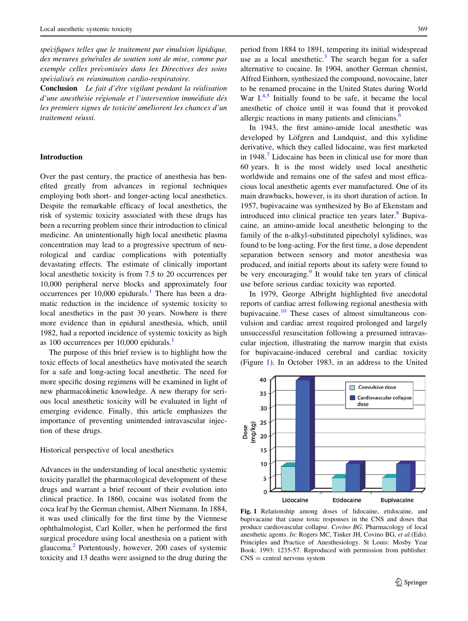spécifiques telles que le traitement par émulsion lipidique, des mesures générales de soutien sont de mise, comme par exemple celles préconisées dans les Directives des soins spécialisés en réanimation cardio-respiratoire.

Conclusion Le fait d'être vigilant pendant la réalisation d'une anesthésie régionale et l'intervention immédiate dès les premiers signes de toxicité améliorent les chances d'un traitement re´ussi.

### Introduction

Over the past century, the practice of anesthesia has benefited greatly from advances in regional techniques employing both short- and longer-acting local anesthetics. Despite the remarkable efficacy of local anesthetics, the risk of systemic toxicity associated with these drugs has been a recurring problem since their introduction to clinical medicine. An unintentionally high local anesthetic plasma concentration may lead to a progressive spectrum of neurological and cardiac complications with potentially devastating effects. The estimate of clinically important local anesthetic toxicity is from 7.5 to 20 occurrences per 10,000 peripheral nerve blocks and approximately four occurrences per  $10,000$  $10,000$  epidurals.<sup>1</sup> There has been a dramatic reduction in the incidence of systemic toxicity to local anesthetics in the past 30 years. Nowhere is there more evidence than in epidural anesthesia, which, until 1982, had a reported incidence of systemic toxicity as high as [1](#page-9-0)00 occurrences per 10,000 epidurals.<sup>1</sup>

The purpose of this brief review is to highlight how the toxic effects of local anesthetics have motivated the search for a safe and long-acting local anesthetic. The need for more specific dosing regimens will be examined in light of new pharmacokinetic knowledge. A new therapy for serious local anesthetic toxicity will be evaluated in light of emerging evidence. Finally, this article emphasizes the importance of preventing unintended intravascular injection of these drugs.

#### Historical perspective of local anesthetics

Advances in the understanding of local anesthetic systemic toxicity parallel the pharmacological development of these drugs and warrant a brief recount of their evolution into clinical practice. In 1860, cocaine was isolated from the coca leaf by the German chemist, Albert Niemann. In 1884, it was used clinically for the first time by the Viennese ophthalmologist, Carl Koller, when he performed the first surgical procedure using local anesthesia on a patient with glaucoma.[2](#page-9-0) Portentously, however, 200 cases of systemic toxicity and 13 deaths were assigned to the drug during the period from 1884 to 1891, tempering its initial widespread use as a local anesthetic.<sup>[3](#page-9-0)</sup> The search began for a safer alternative to cocaine. In 1904, another German chemist, Alfred Einhorn, synthesized the compound, novocaine, later to be renamed procaine in the United States during World War  $I^{4,5}$  $I^{4,5}$  $I^{4,5}$  Initially found to be safe, it became the local anesthetic of choice until it was found that it provoked allergic reactions in many patients and clinicians.<sup>[6](#page-9-0)</sup>

In 1943, the first amino-amide local anesthetic was developed by Löfgren and Lundquist, and this xylidine derivative, which they called lidocaine, was first marketed in 1948.[7](#page-9-0) Lidocaine has been in clinical use for more than 60 years. It is the most widely used local anesthetic worldwide and remains one of the safest and most efficacious local anesthetic agents ever manufactured. One of its main drawbacks, however, is its short duration of action. In 1957, bupivacaine was synthesized by Bo af Ekenstam and introduced into clinical practice ten years later. $8$  Bupivacaine, an amino-amide local anesthetic belonging to the family of the n-alkyl-substituted pipecholyl xylidines, was found to be long-acting. For the first time, a dose dependent separation between sensory and motor anesthesia was produced, and initial reports about its safety were found to be very encouraging. $\frac{9}{5}$  $\frac{9}{5}$  $\frac{9}{5}$  It would take ten years of clinical use before serious cardiac toxicity was reported.

In 1979, George Albright highlighted five anecdotal reports of cardiac arrest following regional anesthesia with bupivacaine.[10](#page-9-0) These cases of almost simultaneous convulsion and cardiac arrest required prolonged and largely unsuccessful resuscitation following a presumed intravascular injection, illustrating the narrow margin that exists for bupivacaine-induced cerebral and cardiac toxicity (Figure 1). In October 1983, in an address to the United



Fig. 1 Relationship among doses of lidocaine, etidocaine, and bupivacaine that cause toxic responses in the CNS and doses that produce cardiovascular collapse. Covino BG. Pharmacology of local anesthetic agents. In: Rogers MC, Tinker JH, Covino BG, et al.(Eds). Principles and Practice of Anesthesiology. St Louis: Mosby Year Book: 1993: 1235-57. Reproduced with permission from publisher.  $CNS =$  central nervous system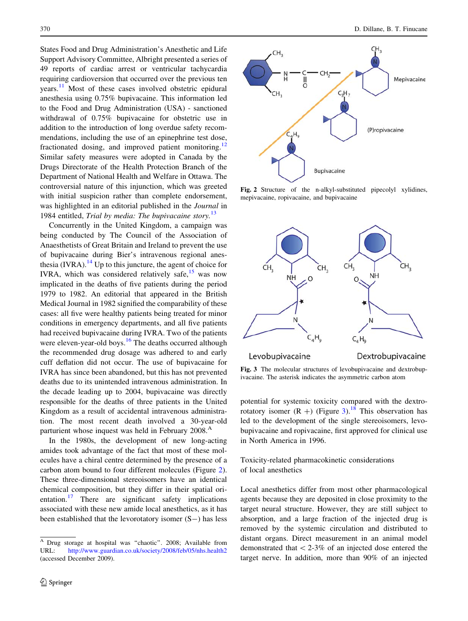States Food and Drug Administration's Anesthetic and Life Support Advisory Committee, Albright presented a series of 49 reports of cardiac arrest or ventricular tachycardia requiring cardioversion that occurred over the previous ten years.<sup>[11](#page-9-0)</sup> Most of these cases involved obstetric epidural anesthesia using 0.75% bupivacaine. This information led to the Food and Drug Administration (USA) - sanctioned withdrawal of 0.75% bupivacaine for obstetric use in addition to the introduction of long overdue safety recommendations, including the use of an epinephrine test dose, fractionated dosing, and improved patient monitoring.<sup>[12](#page-9-0)</sup> Similar safety measures were adopted in Canada by the Drugs Directorate of the Health Protection Branch of the Department of National Health and Welfare in Ottawa. The controversial nature of this injunction, which was greeted with initial suspicion rather than complete endorsement, was highlighted in an editorial published in the Journal in 1984 entitled, Trial by media: The bupivacaine story.<sup>[13](#page-9-0)</sup>

Concurrently in the United Kingdom, a campaign was being conducted by The Council of the Association of Anaesthetists of Great Britain and Ireland to prevent the use of bupivacaine during Bier's intravenous regional anesthesia (IVRA).<sup>14</sup> Up to this juncture, the agent of choice for IVRA, which was considered relatively safe, $15$  was now implicated in the deaths of five patients during the period 1979 to 1982. An editorial that appeared in the British Medical Journal in 1982 signified the comparability of these cases: all five were healthy patients being treated for minor conditions in emergency departments, and all five patients had received bupivacaine during IVRA. Two of the patients were eleven-year-old boys.<sup>[16](#page-10-0)</sup> The deaths occurred although the recommended drug dosage was adhered to and early cuff deflation did not occur. The use of bupivacaine for IVRA has since been abandoned, but this has not prevented deaths due to its unintended intravenous administration. In the decade leading up to 2004, bupivacaine was directly responsible for the deaths of three patients in the United Kingdom as a result of accidental intravenous administration. The most recent death involved a 30-year-old parturient whose inquest was held in February 2008.<sup>A</sup>

In the 1980s, the development of new long-acting amides took advantage of the fact that most of these molecules have a chiral centre determined by the presence of a carbon atom bound to four different molecules (Figure 2). These three-dimensional stereoisomers have an identical chemical composition, but they differ in their spatial ori-entation.<sup>[17](#page-10-0)</sup> There are significant safety implications associated with these new amide local anesthetics, as it has been established that the levorotatory isomer  $(S-)$  has less

<sup>A</sup> Drug storage at hospital was ''chaotic''. 2008; Available from URL: <http://www.guardian.co.uk/society/2008/feb/05/nhs.health2> (accessed December 2009).



Fig. 2 Structure of the n-alkyl-substituted pipecolyl xylidines, mepivacaine, ropivacaine, and bupivacaine



Fig. 3 The molecular structures of levobupivacaine and dextrobupivacaine. The asterisk indicates the asymmetric carbon atom

potential for systemic toxicity compared with the dextrorotatory isomer  $(R +)$  (Figure 3).<sup>[18](#page-10-0)</sup> This observation has led to the development of the single stereoisomers, levobupivacaine and ropivacaine, first approved for clinical use in North America in 1996.

Toxicity-related pharmacokinetic considerations of local anesthetics

Local anesthetics differ from most other pharmacological agents because they are deposited in close proximity to the target neural structure. However, they are still subject to absorption, and a large fraction of the injected drug is removed by the systemic circulation and distributed to distant organs. Direct measurement in an animal model demonstrated that  $\langle 2-3\% \rangle$  of an injected dose entered the target nerve. In addition, more than 90% of an injected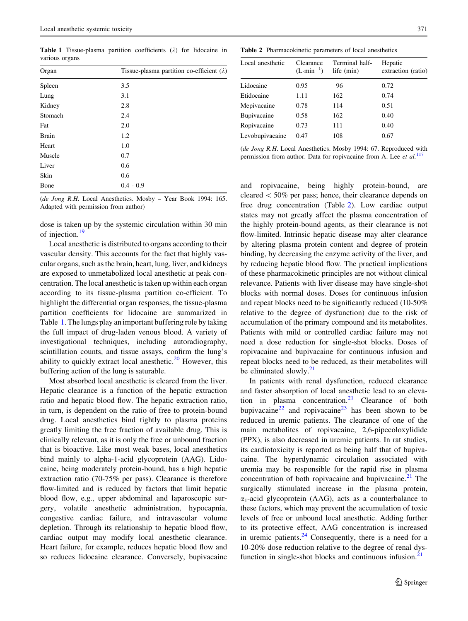Table 1 Tissue-plasma partition coefficients  $(\lambda)$  for lidocaine in various organs

| Organ        | Tissue-plasma partition co-efficient $(\lambda)$ |  |
|--------------|--------------------------------------------------|--|
| Spleen       | 3.5                                              |  |
| Lung         | 3.1                                              |  |
| Kidney       | 2.8                                              |  |
| Stomach      | 2.4                                              |  |
| Fat          | 2.0                                              |  |
| <b>Brain</b> | 1.2                                              |  |
| Heart        | 1.0                                              |  |
| Muscle       | 0.7                                              |  |
| Liver        | 0.6                                              |  |
| Skin         | 0.6                                              |  |
| Bone         | $0.4 - 0.9$                                      |  |

(de Jong R.H. Local Anesthetics. Mosby – Year Book 1994: 165. Adapted with permission from author)

dose is taken up by the systemic circulation within 30 min of injection.<sup>19</sup>

Local anesthetic is distributed to organs according to their vascular density. This accounts for the fact that highly vascular organs, such as the brain, heart, lung, liver, and kidneys are exposed to unmetabolized local anesthetic at peak concentration. The local anesthetic is taken up within each organ according to its tissue-plasma partition co-efficient. To highlight the differential organ responses, the tissue-plasma partition coefficients for lidocaine are summarized in Table 1. The lungs play an important buffering role by taking the full impact of drug-laden venous blood. A variety of investigational techniques, including autoradiography, scintillation counts, and tissue assays, confirm the lung's ability to quickly extract local anesthetic.<sup>[20](#page-10-0)</sup> However, this buffering action of the lung is saturable.

Most absorbed local anesthetic is cleared from the liver. Hepatic clearance is a function of the hepatic extraction ratio and hepatic blood flow. The hepatic extraction ratio, in turn, is dependent on the ratio of free to protein-bound drug. Local anesthetics bind tightly to plasma proteins greatly limiting the free fraction of available drug. This is clinically relevant, as it is only the free or unbound fraction that is bioactive. Like most weak bases, local anesthetics bind mainly to alpha-1-acid glycoprotein (AAG). Lidocaine, being moderately protein-bound, has a high hepatic extraction ratio (70-75% per pass). Clearance is therefore flow-limited and is reduced by factors that limit hepatic blood flow, e.g., upper abdominal and laparoscopic surgery, volatile anesthetic administration, hypocapnia, congestive cardiac failure, and intravascular volume depletion. Through its relationship to hepatic blood flow, cardiac output may modify local anesthetic clearance. Heart failure, for example, reduces hepatic blood flow and so reduces lidocaine clearance. Conversely, bupivacaine

Table 2 Pharmacokinetic parameters of local anesthetics

| Local anesthetic | Clearance<br>$(L \cdot \text{min}^{-1})$ | Terminal half-<br>life (min) | Hepatic<br>extraction (ratio) |
|------------------|------------------------------------------|------------------------------|-------------------------------|
| Lidocaine        | 0.95                                     | 96                           | 0.72                          |
| Etidocaine       | 1.11                                     | 162                          | 0.74                          |
| Mepivacaine      | 0.78                                     | 114                          | 0.51                          |
| Bupivacaine      | 0.58                                     | 162                          | 0.40                          |
| Ropivacaine      | 0.73                                     | 111                          | 0.40                          |
| Levobupivacaine  | 0.47                                     | 108                          | 0.67                          |

(de Jong R.H. Local Anesthetics. Mosby 1994: 67. Reproduced with permission from author. Data for ropivacaine from A. Lee  $et al.<sup>1</sup>$ 

and ropivacaine, being highly protein-bound, are cleared  $<$  50% per pass; hence, their clearance depends on free drug concentration (Table 2). Low cardiac output states may not greatly affect the plasma concentration of the highly protein-bound agents, as their clearance is not flow-limited. Intrinsic hepatic disease may alter clearance by altering plasma protein content and degree of protein binding, by decreasing the enzyme activity of the liver, and by reducing hepatic blood flow. The practical implications of these pharmacokinetic principles are not without clinical relevance. Patients with liver disease may have single-shot blocks with normal doses. Doses for continuous infusion and repeat blocks need to be significantly reduced (10-50% relative to the degree of dysfunction) due to the risk of accumulation of the primary compound and its metabolites. Patients with mild or controlled cardiac failure may not need a dose reduction for single-shot blocks. Doses of ropivacaine and bupivacaine for continuous infusion and repeat blocks need to be reduced, as their metabolites will be eliminated slowly. $21$ 

In patients with renal dysfunction, reduced clearance and faster absorption of local anesthetic lead to an elevation in plasma concentration. $21$  Clearance of both bupivacaine<sup>[22](#page-10-0)</sup> and ropivacaine<sup>[23](#page-10-0)</sup> has been shown to be reduced in uremic patients. The clearance of one of the main metabolites of ropivacaine, 2,6-pipecoloxylidide (PPX), is also decreased in uremic patients. In rat studies, its cardiotoxicity is reported as being half that of bupivacaine. The hyperdynamic circulation associated with uremia may be responsible for the rapid rise in plasma concentration of both ropivacaine and bupivacaine. $21$  The surgically stimulated increase in the plasma protein,  $\alpha_1$ -acid glycoprotein (AAG), acts as a counterbalance to these factors, which may prevent the accumulation of toxic levels of free or unbound local anesthetic. Adding further to its protective effect, AAG concentration is increased in uremic patients. $^{24}$  $^{24}$  $^{24}$  Consequently, there is a need for a 10-20% dose reduction relative to the degree of renal dysfunction in single-shot blocks and continuous infusion. $21$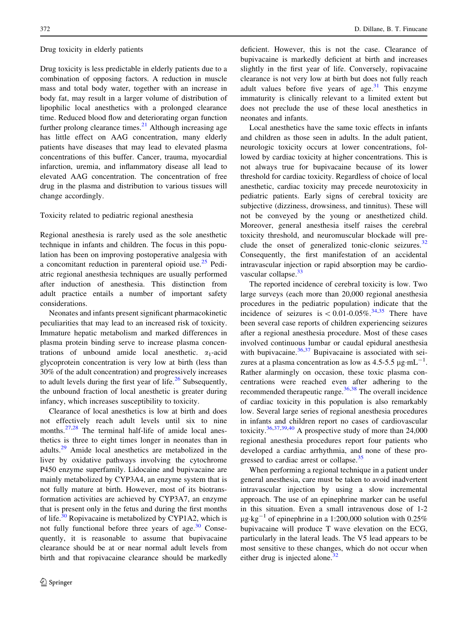#### Drug toxicity in elderly patients

Drug toxicity is less predictable in elderly patients due to a combination of opposing factors. A reduction in muscle mass and total body water, together with an increase in body fat, may result in a larger volume of distribution of lipophilic local anesthetics with a prolonged clearance time. Reduced blood flow and deteriorating organ function further prolong clearance times. $2<sup>1</sup>$  Although increasing age has little effect on AAG concentration, many elderly patients have diseases that may lead to elevated plasma concentrations of this buffer. Cancer, trauma, myocardial infarction, uremia, and inflammatory disease all lead to elevated AAG concentration. The concentration of free drug in the plasma and distribution to various tissues will change accordingly.

# Toxicity related to pediatric regional anesthesia

Regional anesthesia is rarely used as the sole anesthetic technique in infants and children. The focus in this population has been on improving postoperative analgesia with a concomitant reduction in parenteral opioid use. $25$  Pediatric regional anesthesia techniques are usually performed after induction of anesthesia. This distinction from adult practice entails a number of important safety considerations.

Neonates and infants present significant pharmacokinetic peculiarities that may lead to an increased risk of toxicity. Immature hepatic metabolism and marked differences in plasma protein binding serve to increase plasma concentrations of unbound amide local anesthetic.  $\alpha_1$ -acid glycoprotein concentration is very low at birth (less than 30% of the adult concentration) and progressively increases to adult levels during the first year of life. $26$  Subsequently, the unbound fraction of local anesthetic is greater during infancy, which increases susceptibility to toxicity.

Clearance of local anesthetics is low at birth and does not effectively reach adult levels until six to nine months. $27,28$  The terminal half-life of amide local anesthetics is three to eight times longer in neonates than in adults.[29](#page-10-0) Amide local anesthetics are metabolized in the liver by oxidative pathways involving the cytochrome P450 enzyme superfamily. Lidocaine and bupivacaine are mainly metabolized by CYP3A4, an enzyme system that is not fully mature at birth. However, most of its biotransformation activities are achieved by CYP3A7, an enzyme that is present only in the fetus and during the first months of life.<sup>[30](#page-10-0)</sup> Ropivacaine is metabolized by CYP1A2, which is not fully functional before three years of age. $30$  Consequently, it is reasonable to assume that bupivacaine clearance should be at or near normal adult levels from birth and that ropivacaine clearance should be markedly

deficient. However, this is not the case. Clearance of bupivacaine is markedly deficient at birth and increases slightly in the first year of life. Conversely, ropivacaine clearance is not very low at birth but does not fully reach adult values before five years of age. $31$  This enzyme immaturity is clinically relevant to a limited extent but does not preclude the use of these local anesthetics in neonates and infants.

Local anesthetics have the same toxic effects in infants and children as those seen in adults. In the adult patient, neurologic toxicity occurs at lower concentrations, followed by cardiac toxicity at higher concentrations. This is not always true for bupivacaine because of its lower threshold for cardiac toxicity. Regardless of choice of local anesthetic, cardiac toxicity may precede neurotoxicity in pediatric patients. Early signs of cerebral toxicity are subjective (dizziness, drowsiness, and tinnitus). These will not be conveyed by the young or anesthetized child. Moreover, general anesthesia itself raises the cerebral toxicity threshold, and neuromuscular blockade will preclude the onset of generalized tonic-clonic seizures. $32$ Consequently, the first manifestation of an accidental intravascular injection or rapid absorption may be cardio-vascular collapse.<sup>[33](#page-10-0)</sup>

The reported incidence of cerebral toxicity is low. Two large surveys (each more than 20,000 regional anesthesia procedures in the pediatric population) indicate that the incidence of seizures is  $\lt$  0.01-0.05%.<sup>[34,35](#page-10-0)</sup> There have been several case reports of children experiencing seizures after a regional anesthesia procedure. Most of these cases involved continuous lumbar or caudal epidural anesthesia with bupivacaine. $36,37$  $36,37$  $36,37$  Bupivacaine is associated with seizures at a plasma concentration as low as  $4.5$ -5.5  $\mu$ g·mL<sup>-1</sup>. Rather alarmingly on occasion, these toxic plasma concentrations were reached even after adhering to the recommended therapeutic range. $36,38$  $36,38$  $36,38$  The overall incidence of cardiac toxicity in this population is also remarkably low. Several large series of regional anesthesia procedures in infants and children report no cases of cardiovascular toxicity.<sup>[36,37,39,40](#page-10-0)</sup> A prospective study of more than 24,000 regional anesthesia procedures report four patients who developed a cardiac arrhythmia, and none of these pro-gressed to cardiac arrest or collapse.<sup>[35](#page-10-0)</sup>

When performing a regional technique in a patient under general anesthesia, care must be taken to avoid inadvertent intravascular injection by using a slow incremental approach. The use of an epinephrine marker can be useful in this situation. Even a small intravenous dose of 1-2  $\mu$ g·kg<sup>-1</sup> of epinephrine in a 1:200,000 solution with 0.25% bupivacaine will produce T wave elevation on the ECG, particularly in the lateral leads. The V5 lead appears to be most sensitive to these changes, which do not occur when either drug is injected alone.<sup>[32](#page-10-0)</sup>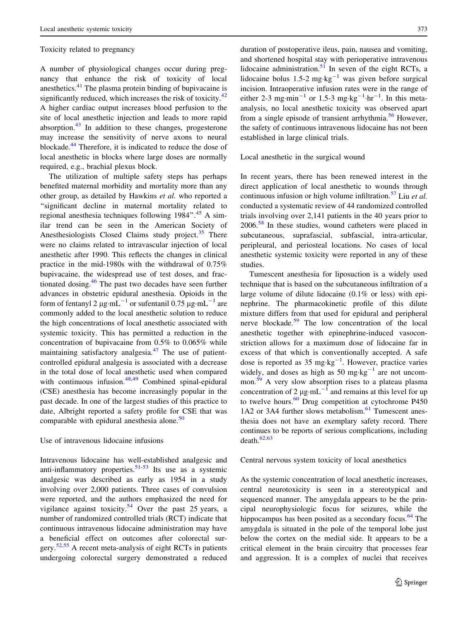Toxicity related to pregnancy

A number of physiological changes occur during pregnancy that enhance the risk of toxicity of local anesthetics. $41$  The plasma protein binding of bupivacaine is significantly reduced, which increases the risk of toxicity. $42$ A higher cardiac output increases blood perfusion to the site of local anesthetic injection and leads to more rapid absorption.[43](#page-10-0) In addition to these changes, progesterone may increase the sensitivity of nerve axons to neural blockade.<sup>[44](#page-10-0)</sup> Therefore, it is indicated to reduce the dose of local anesthetic in blocks where large doses are normally required, e.g., brachial plexus block.

The utilization of multiple safety steps has perhaps benefited maternal morbidity and mortality more than any other group, as detailed by Hawkins et al. who reported a ''significant decline in maternal mortality related to regional anesthesia techniques following  $1984$ <sup>".[45](#page-10-0)</sup> A similar trend can be seen in the American Society of Anesthesiologists Closed Claims study project. $35$  There were no claims related to intravascular injection of local anesthetic after 1990. This reflects the changes in clinical practice in the mid-1980s with the withdrawal of 0.75% bupivacaine, the widespread use of test doses, and fractionated dosing. $46$  The past two decades have seen further advances in obstetric epidural anesthesia. Opioids in the form of fentanyl 2  $\mu$ g·mL<sup>-1</sup> or sufentanil 0.75  $\mu$ g·mL<sup>-1</sup> are commonly added to the local anesthetic solution to reduce the high concentrations of local anesthetic associated with systemic toxicity. This has permitted a reduction in the concentration of bupivacaine from 0.5% to 0.065% while maintaining satisfactory analgesia. $47$  The use of patientcontrolled epidural analgesia is associated with a decrease in the total dose of local anesthetic used when compared with continuous infusion. $48,49$  Combined spinal-epidural (CSE) anesthesia has become increasingly popular in the past decade. In one of the largest studies of this practice to date, Albright reported a safety profile for CSE that was comparable with epidural anesthesia alone.<sup>50</sup>

## Use of intravenous lidocaine infusions

Intravenous lidocaine has well-established analgesic and anti-inflammatory properties.<sup>[51](#page-10-0)-[53](#page-10-0)</sup> Its use as a systemic analgesic was described as early as 1954 in a study involving over 2,000 patients. Three cases of convulsion were reported, and the authors emphasized the need for vigilance against toxicity.<sup>[54](#page-10-0)</sup> Over the past 25 years, a number of randomized controlled trials (RCT) indicate that continuous intravenous lidocaine administration may have a beneficial effect on outcomes after colorectal sur-gery.<sup>[52,55](#page-10-0)</sup> A recent meta-analysis of eight RCTs in patients undergoing colorectal surgery demonstrated a reduced

duration of postoperative ileus, pain, nausea and vomiting, and shortened hospital stay with perioperative intravenous lidocaine administration.<sup>[51](#page-10-0)</sup> In seven of the eight RCTs, a lidocaine bolus  $1.5{\text -}2$  mg·kg<sup>-1</sup> was given before surgical incision. Intraoperative infusion rates were in the range of either 2-3 mg·min<sup>-1</sup> or 1.5-3 mg·kg<sup>-1</sup>·hr<sup>-1</sup>. In this metaanalysis, no local anesthetic toxicity was observed apart from a single episode of transient arrhythmia.<sup>56</sup> However, the safety of continuous intravenous lidocaine has not been established in large clinical trials.

Local anesthetic in the surgical wound

In recent years, there has been renewed interest in the direct application of local anesthetic to wounds through continuous infusion or high volume infiltration.<sup>[57](#page-11-0)</sup> Liu *et al.* conducted a systematic review of 44 randomized controlled trials involving over 2,141 patients in the 40 years prior to  $2006<sup>58</sup>$  $2006<sup>58</sup>$  $2006<sup>58</sup>$  In these studies, wound catheters were placed in subcutaneous, suprafascial, subfascial, intra-articular, peripleural, and periosteal locations. No cases of local anesthetic systemic toxicity were reported in any of these studies.

Tumescent anesthesia for liposuction is a widely used technique that is based on the subcutaneous infiltration of a large volume of dilute lidocaine (0.1% or less) with epinephrine. The pharmacokinetic profile of this dilute mixture differs from that used for epidural and peripheral nerve blockade.<sup>[59](#page-11-0)</sup> The low concentration of the local anesthetic together with epinephrine-induced vasoconstriction allows for a maximum dose of lidocaine far in excess of that which is conventionally accepted. A safe dose is reported as  $35 \text{ mg} \cdot \text{kg}^{-1}$ . However, practice varies widely, and doses as high as 50 mg·kg<sup>-1</sup> are not uncommon.[59](#page-11-0) A very slow absorption rises to a plateau plasma concentration of 2  $\mu$ g·mL<sup>-1</sup> and remains at this level for up to twelve hours. $60$  Drug competition at cytochrome P450 1A2 or 3A4 further slows metabolism.<sup>[61](#page-11-0)</sup> Tumescent anesthesia does not have an exemplary safety record. There continues to be reports of serious complications, including death. $62,63$ 

## Central nervous system toxicity of local anesthetics

As the systemic concentration of local anesthetic increases, central neurotoxicity is seen in a stereotypical and sequenced manner. The amygdala appears to be the principal neurophysiologic focus for seizures, while the hippocampus has been posited as a secondary focus.<sup>[64](#page-11-0)</sup> The amygdala is situated in the pole of the temporal lobe just below the cortex on the medial side. It appears to be a critical element in the brain circuitry that processes fear and aggression. It is a complex of nuclei that receives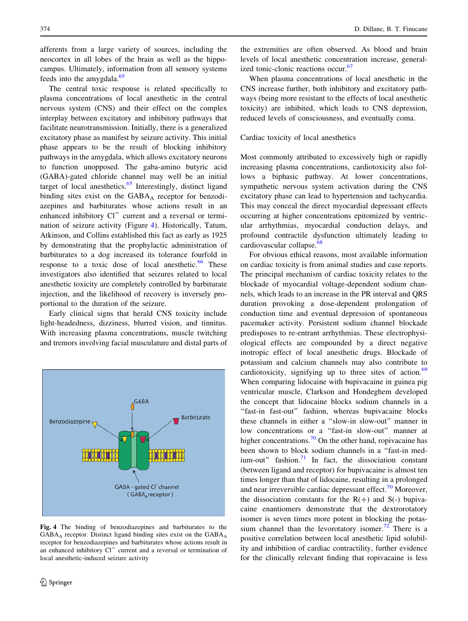afferents from a large variety of sources, including the neocortex in all lobes of the brain as well as the hippocampus. Ultimately, information from all sensory systems feeds into the amygdala.<sup>[65](#page-11-0)</sup>

The central toxic response is related specifically to plasma concentrations of local anesthetic in the central nervous system (CNS) and their effect on the complex interplay between excitatory and inhibitory pathways that facilitate neurotransmission. Initially, there is a generalized excitatory phase as manifest by seizure activity. This initial phase appears to be the result of blocking inhibitory pathways in the amygdala, which allows excitatory neurons to function unopposed. The gaba-amino butyric acid (GABA)-gated chloride channel may well be an initial target of local anesthetics. $65$  Interestingly, distinct ligand binding sites exist on the GABA<sub>A</sub> receptor for benzodiazepines and barbiturates whose actions result in an enhanced inhibitory  $Cl^-$  current and a reversal or termination of seizure activity (Figure 4). Historically, Tatum, Atkinson, and Collins established this fact as early as 1925 by demonstrating that the prophylactic administration of barbiturates to a dog increased its tolerance fourfold in response to a toxic dose of local anesthetic. $66$  These investigators also identified that seizures related to local anesthetic toxicity are completely controlled by barbiturate injection, and the likelihood of recovery is inversely proportional to the duration of the seizure.

Early clinical signs that herald CNS toxicity include light-headedness, dizziness, blurred vision, and tinnitus. With increasing plasma concentrations, muscle twitching and tremors involving facial musculature and distal parts of



Fig. 4 The binding of benzodiazepines and barbiturates to the GABA<sub>A</sub> receptor. Distinct ligand binding sites exist on the GABA<sub>A</sub> receptor for benzodiazepines and barbiturates whose actions result in an enhanced inhibitory  $Cl^-$  current and a reversal or termination of local anesthetic-induced seizure activity

the extremities are often observed. As blood and brain levels of local anesthetic concentration increase, general-ized tonic-clonic reactions occur.<sup>[67](#page-11-0)</sup>

When plasma concentrations of local anesthetic in the CNS increase further, both inhibitory and excitatory pathways (being more resistant to the effects of local anesthetic toxicity) are inhibited, which leads to CNS depression, reduced levels of consciousness, and eventually coma.

# Cardiac toxicity of local anesthetics

Most commonly attributed to excessively high or rapidly increasing plasma concentrations, cardiotoxicity also follows a biphasic pathway. At lower concentrations, sympathetic nervous system activation during the CNS excitatory phase can lead to hypertension and tachycardia. This may conceal the direct myocardial depressant effects occurring at higher concentrations epitomized by ventricular arrhythmias, myocardial conduction delays, and profound contractile dysfunction ultimately leading to cardiovascular collapse.<sup>[68](#page-11-0)</sup>

For obvious ethical reasons, most available information on cardiac toxicity is from animal studies and case reports. The principal mechanism of cardiac toxicity relates to the blockade of myocardial voltage-dependent sodium channels, which leads to an increase in the PR interval and QRS duration provoking a dose-dependent prolongation of conduction time and eventual depression of spontaneous pacemaker activity. Persistent sodium channel blockade predisposes to re-entrant arrhythmias. These electrophysiological effects are compounded by a direct negative inotropic effect of local anesthetic drugs. Blockade of potassium and calcium channels may also contribute to cardiotoxicity, signifying up to three sites of action.<sup>[69](#page-11-0)</sup> When comparing lidocaine with bupivacaine in guinea pig ventricular muscle, Clarkson and Hondeghem developed the concept that lidocaine blocks sodium channels in a "fast-in fast-out" fashion, whereas bupivacaine blocks these channels in either a ''slow-in slow-out'' manner in low concentrations or a "fast-in slow-out" manner at higher concentrations.<sup>[70](#page-11-0)</sup> On the other hand, ropivacaine has been shown to block sodium channels in a ''fast-in medium-out" fashion. $1\text{ n}$  In fact, the dissociation constant (between ligand and receptor) for bupivacaine is almost ten times longer than that of lidocaine, resulting in a prolonged and near irreversible cardiac depressant effect. $\frac{70}{10}$  $\frac{70}{10}$  $\frac{70}{10}$  Moreover, the dissociation constants for the  $R(+)$  and  $S(-)$  bupivacaine enantiomers demonstrate that the dextrorotatory isomer is seven times more potent in blocking the potas-sium channel than the levorotatory isomer.<sup>[72](#page-11-0)</sup> There is a positive correlation between local anesthetic lipid solubility and inhibition of cardiac contractility, further evidence for the clinically relevant finding that ropivacaine is less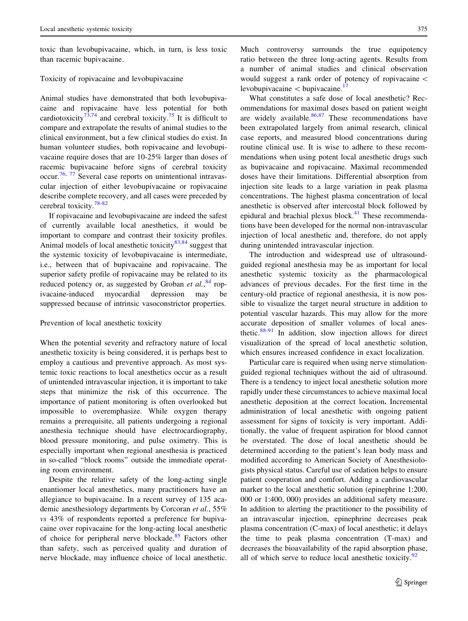toxic than levobupivacaine, which, in turn, is less toxic than racemic bupivacaine.

#### Toxicity of ropivacaine and levobupivacaine

Animal studies have demonstrated that both levobupivacaine and ropivacaine have less potential for both cardiotoxicity<sup>[73,74](#page-11-0)</sup> and cerebral toxicity.<sup>[75](#page-11-0)</sup> It is difficult to compare and extrapolate the results of animal studies to the clinical environment, but a few clinical studies do exist. In human volunteer studies, both ropivacaine and levobupivacaine require doses that are 10-25% larger than doses of racemic bupivacaine before signs of cerebral toxicity occur.<sup>[76](#page-11-0), [77](#page-11-0)</sup> Several case reports on unintentional intravascular injection of either levobupivacaine or ropivacaine describe complete recovery, and all cases were preceded by cerebral toxicity.[78](#page-11-0)-[82](#page-11-0)

If ropivacaine and levobupivacaine are indeed the safest of currently available local anesthetics, it would be important to compare and contrast their toxicity profiles. Animal models of local anesthetic toxicity $83,84$  suggest that the systemic toxicity of levobupivacaine is intermediate, i.e., between that of bupivacaine and ropivacaine. The superior safety profile of ropivacaine may be related to its reduced potency or, as suggested by Groban et al., <sup>[84](#page-11-0)</sup> ropivacaine-induced myocardial depression may be suppressed because of intrinsic vasoconstrictor properties.

#### Prevention of local anesthetic toxicity

When the potential severity and refractory nature of local anesthetic toxicity is being considered, it is perhaps best to employ a cautious and preventive approach. As most systemic toxic reactions to local anesthetics occur as a result of unintended intravascular injection, it is important to take steps that minimize the risk of this occurrence. The importance of patient monitoring is often overlooked but impossible to overemphasize. While oxygen therapy remains a prerequisite, all patients undergoing a regional anesthesia technique should have electrocardiography, blood pressure monitoring, and pulse oximetry. This is especially important when regional anesthesia is practiced in so-called ''block rooms'' outside the immediate operating room environment.

Despite the relative safety of the long-acting single enantiomer local anesthetics, many practitioners have an allegiance to bupivacaine. In a recent survey of 135 academic anesthesiology departments by Corcoran et al., 55% vs 43% of respondents reported a preference for bupivacaine over ropivacaine for the long-acting local anesthetic of choice for peripheral nerve blockade.<sup>[85](#page-11-0)</sup> Factors other than safety, such as perceived quality and duration of nerve blockade, may influence choice of local anesthetic. Much controversy surrounds the true equipotency ratio between the three long-acting agents. Results from a number of animal studies and clinical observation would suggest a rank order of potency of ropivacaine \ levobupivacaine  $\lt$  bupivacaine.<sup>[17](#page-10-0)</sup>

What constitutes a safe dose of local anesthetic? Recommendations for maximal doses based on patient weight are widely available. $86,87$  These recommendations have been extrapolated largely from animal research, clinical case reports, and measured blood concentrations during routine clinical use. It is wise to adhere to these recommendations when using potent local anesthetic drugs such as bupivacaine and ropivacaine. Maximal recommended doses have their limitations. Differential absorption from injection site leads to a large variation in peak plasma concentrations. The highest plasma concentration of local anesthetic is observed after intercostal block followed by epidural and brachial plexus block. $41$  These recommendations have been developed for the normal non-intravascular injection of local anesthetic and, therefore, do not apply during unintended intravascular injection.

The introduction and widespread use of ultrasoundguided regional anesthesia may be as important for local anesthetic systemic toxicity as the pharmacological advances of previous decades. For the first time in the century-old practice of regional anesthesia, it is now possible to visualize the target neural structure in addition to potential vascular hazards. This may allow for the more accurate deposition of smaller volumes of local anesthetic.[88](#page-11-0)-[91](#page-11-0) In addition, slow injection allows for direct visualization of the spread of local anesthetic solution, which ensures increased confidence in exact localization.

Particular care is required when using nerve stimulationguided regional techniques without the aid of ultrasound. There is a tendency to inject local anesthetic solution more rapidly under these circumstances to achieve maximal local anesthetic deposition at the correct location. Incremental administration of local anesthetic with ongoing patient assessment for signs of toxicity is very important. Additionally, the value of frequent aspiration for blood cannot be overstated. The dose of local anesthetic should be determined according to the patient's lean body mass and modified according to American Society of Anesthesiologists physical status. Careful use of sedation helps to ensure patient cooperation and comfort. Adding a cardiovascular marker to the local anesthetic solution (epinephrine 1:200, 000 or 1:400, 000) provides an additional safety measure. In addition to alerting the practitioner to the possibility of an intravascular injection, epinephrine decreases peak plasma concentration (C-max) of local anesthetic; it delays the time to peak plasma concentration (T-max) and decreases the bioavailability of the rapid absorption phase, all of which serve to reduce local anesthetic toxicity.  $92$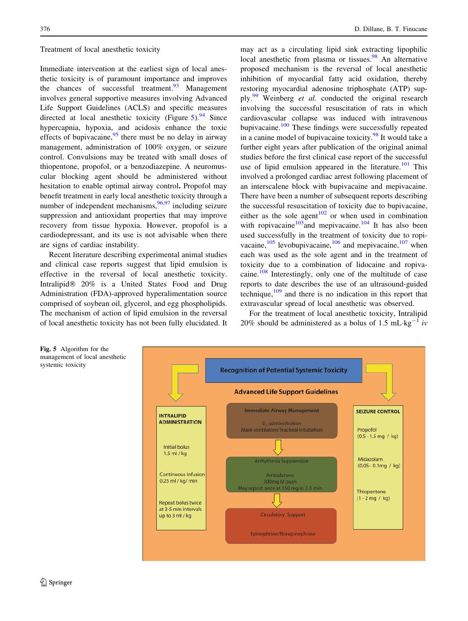#### Treatment of local anesthetic toxicity

Immediate intervention at the earliest sign of local anesthetic toxicity is of paramount importance and improves the chances of successful treatment.<sup>[93](#page-11-0)</sup> Management involves general supportive measures involving Advanced Life Support Guidelines (ACLS) and specific measures directed at local anesthetic toxicity (Figure  $5$ ).<sup>[94](#page-11-0)</sup> Since hypercapnia, hypoxia, and acidosis enhance the toxic effects of bupivacaine,  $95$  there must be no delay in airway management, administration of 100% oxygen, or seizure control. Convulsions may be treated with small doses of thiopentone, propofol, or a benzodiazepine. A neuromuscular blocking agent should be administered without hesitation to enable optimal airway control. Propofol may benefit treatment in early local anesthetic toxicity through a number of independent mechanisms,  $96,97$  including seizure suppression and antioxidant properties that may improve recovery from tissue hypoxia. However, propofol is a cardiodepressant, and its use is not advisable when there are signs of cardiac instability.

Recent literature describing experimental animal studies and clinical case reports suggest that lipid emulsion is effective in the reversal of local anesthetic toxicity. Intralipid® 20% is a United States Food and Drug Administration (FDA)-approved hyperalimentation source comprised of soybean oil, glycerol, and egg phospholipids. The mechanism of action of lipid emulsion in the reversal of local anesthetic toxicity has not been fully elucidated. It

may act as a circulating lipid sink extracting lipophilic local anesthetic from plasma or tissues. $98$  An alternative proposed mechanism is the reversal of local anesthetic inhibition of myocardial fatty acid oxidation, thereby restoring myocardial adenosine triphosphate (ATP) sup-ply.<sup>[99](#page-12-0)</sup> Weinberg *et al.* conducted the original research involving the successful resuscitation of rats in which cardiovascular collapse was induced with intravenous bupivacaine.<sup>[100](#page-12-0)</sup> These findings were successfully repeated in a canine model of bupivacaine toxicity. $\frac{98}{8}$  $\frac{98}{8}$  $\frac{98}{8}$  It would take a further eight years after publication of the original animal studies before the first clinical case report of the successful use of lipid emulsion appeared in the literature.<sup>[101](#page-12-0)</sup> This involved a prolonged cardiac arrest following placement of an interscalene block with bupivacaine and mepivacaine. There have been a number of subsequent reports describing the successful resuscitation of toxicity due to bupivacaine, either as the sole agent<sup>[102](#page-12-0)</sup> or when used in combination with ropivacaine $103$  and mepivacaine.<sup>104</sup> It has also been used successfully in the treatment of toxicity due to ropivacaine, $105$  levobupivacaine, $106$  and mepivacaine, $107$  when each was used as the sole agent and in the treatment of toxicity due to a combination of lidocaine and ropiva-caine.<sup>[108](#page-12-0)</sup> Interestingly, only one of the multitude of case reports to date describes the use of an ultrasound-guided technique, $109$  and there is no indication in this report that extravascular spread of local anesthetic was observed.

For the treatment of local anesthetic toxicity, Intralipid 20% should be administered as a bolus of 1.5 mL·kg<sup>-1</sup> iv



Fig. 5 Algorithm for the management of local anesthetic systemic toxicity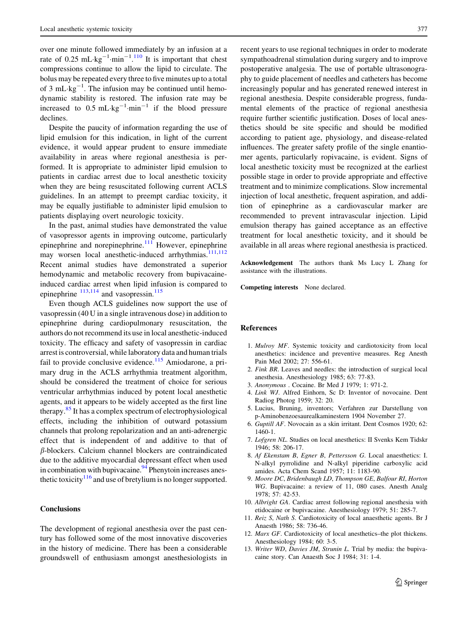<span id="page-9-0"></span>over one minute followed immediately by an infusion at a rate of 0.25 mL·kg<sup>-1</sup>·min<sup>-1</sup>.<sup>[110](#page-12-0)</sup> It is important that chest compressions continue to allow the lipid to circulate. The bolus may be repeated every three to five minutes up to a total of 3 mL $\text{kg}^{-1}$ . The infusion may be continued until hemodynamic stability is restored. The infusion rate may be increased to  $0.5 \text{ mL} \cdot \text{kg}^{-1} \cdot \text{min}^{-1}$  if the blood pressure declines.

Despite the paucity of information regarding the use of lipid emulsion for this indication, in light of the current evidence, it would appear prudent to ensure immediate availability in areas where regional anesthesia is performed. It is appropriate to administer lipid emulsion to patients in cardiac arrest due to local anesthetic toxicity when they are being resuscitated following current ACLS guidelines. In an attempt to preempt cardiac toxicity, it may be equally justifiable to administer lipid emulsion to patients displaying overt neurologic toxicity.

In the past, animal studies have demonstrated the value of vasopressor agents in improving outcome, particularly epinephrine and norepinephrine. $111$  However, epinephrine may worsen local anesthetic-induced arrhythmias.<sup>[111](#page-12-0),[112](#page-12-0)</sup> Recent animal studies have demonstrated a superior hemodynamic and metabolic recovery from bupivacaineinduced cardiac arrest when lipid infusion is compared to epinephrine  $\frac{113,114}{ }$  $\frac{113,114}{ }$  $\frac{113,114}{ }$  and vasopressin.<sup>[115](#page-12-0)</sup>

Even though ACLS guidelines now support the use of vasopressin (40 U in a single intravenous dose) in addition to epinephrine during cardiopulmonary resuscitation, the authors do not recommend its use in local anesthetic-induced toxicity. The efficacy and safety of vasopressin in cardiac arrest is controversial, while laboratory data and human trials fail to provide conclusive evidence.<sup>[115](#page-12-0)</sup> Amiodarone, a primary drug in the ACLS arrhythmia treatment algorithm, should be considered the treatment of choice for serious ventricular arrhythmias induced by potent local anesthetic agents, and it appears to be widely accepted as the first line therapy.<sup>[85](#page-11-0)</sup> It has a complex spectrum of electrophysiological effects, including the inhibition of outward potassium channels that prolong repolarization and an anti-adrenergic effect that is independent of and additive to that of  $\beta$ -blockers. Calcium channel blockers are contraindicated due to the additive myocardial depressant effect when used in combination with bupivacaine.  $94$  Phenytoin increases anesthetic toxicity  $116$  and use of bretylium is no longer supported.

# **Conclusions**

The development of regional anesthesia over the past century has followed some of the most innovative discoveries in the history of medicine. There has been a considerable groundswell of enthusiasm amongst anesthesiologists in recent years to use regional techniques in order to moderate sympathoadrenal stimulation during surgery and to improve postoperative analgesia. The use of portable ultrasonography to guide placement of needles and catheters has become increasingly popular and has generated renewed interest in regional anesthesia. Despite considerable progress, fundamental elements of the practice of regional anesthesia require further scientific justification. Doses of local anesthetics should be site specific and should be modified according to patient age, physiology, and disease-related influences. The greater safety profile of the single enantiomer agents, particularly ropivacaine, is evident. Signs of local anesthetic toxicity must be recognized at the earliest possible stage in order to provide appropriate and effective treatment and to minimize complications. Slow incremental injection of local anesthetic, frequent aspiration, and addition of epinephrine as a cardiovascular marker are recommended to prevent intravascular injection. Lipid emulsion therapy has gained acceptance as an effective treatment for local anesthetic toxicity, and it should be available in all areas where regional anesthesia is practiced.

Acknowledgement The authors thank Ms Lucy L Zhang for assistance with the illustrations.

Competing interests None declared.

#### References

- 1. Mulroy MF. Systemic toxicity and cardiotoxicity from local anesthetics: incidence and preventive measures. Reg Anesth Pain Med 2002; 27: 556-61.
- 2. Fink BR. Leaves and needles: the introduction of surgical local anesthesia. Anesthesiology 1985; 63: 77-83.
- 3. Anonymous . Cocaine. Br Med J 1979; 1: 971-2.
- 4. Link WJ. Alfred Einhorn, Sc D: Inventor of novocaine. Dent Radiog Photog 1959; 32: 20.
- 5. Lucius, Bruning, inventors; Verfahren zur Darstellung von p-Aminobenzoesaurealkaminestern 1904 November 27.
- 6. Guptill AF. Novocain as a skin irritant. Dent Cosmos 1920; 62: 1460-1.
- 7. Lofgren NL. Studies on local anesthetics: II Svenks Kem Tidskr 1946; 58: 206-17.
- 8. Af Ekenstam B, Egner B, Pettersson G. Local anaesthetics: I. N-alkyl pyrrolidine and N-alkyl piperidine carboxylic acid amides. Acta Chem Scand 1957; 11: 1183-90.
- 9. Moore DC, Bridenbaugh LD, Thompson GE, Balfour RI, Horton WG. Bupivacaine: a review of 11, 080 cases. Anesth Analg 1978; 57: 42-53.
- 10. Albright GA. Cardiac arrest following regional anesthesia with etidocaine or bupivacaine. Anesthesiology 1979; 51: 285-7.
- 11. Reiz S, Nath S. Cardiotoxicity of local anaesthetic agents. Br J Anaesth 1986; 58: 736-46.
- 12. Marx GF. Cardiotoxicity of local anesthetics–the plot thickens. Anesthesiology 1984; 60: 3-5.
- 13. Writer WD, Davies JM, Strunin L. Trial by media: the bupivacaine story. Can Anaesth Soc J 1984; 31: 1-4.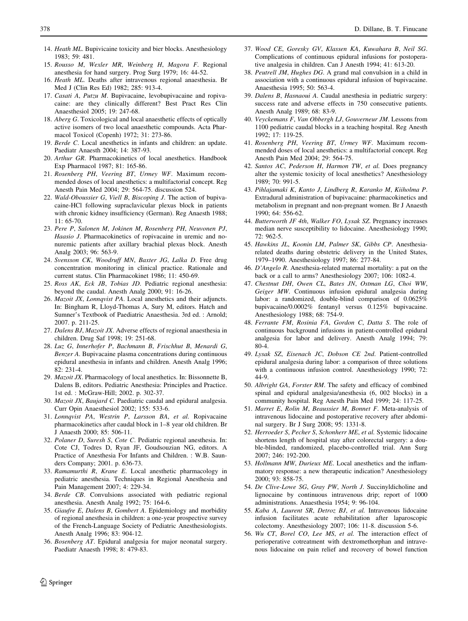- <span id="page-10-0"></span>14. Heath ML. Bupivicaine toxicity and bier blocks. Anesthesiology 1983; 59: 481.
- 15. Rousso M, Wexler MR, Weinberg H, Magora F. Regional anesthesia for hand surgery. Prog Surg 1979; 16: 44-52.
- 16. Heath ML. Deaths after intravenous regional anaesthesia. Br Med J (Clin Res Ed) 1982; 285: 913-4.
- 17. Casati A, Putzu M. Bupivacaine, levobupivacaine and ropivacaine: are they clinically different? Best Pract Res Clin Anaesthesiol 2005; 19: 247-68.
- 18. Aberg G. Toxicological and local anaesthetic effects of optically active isomers of two local anaesthetic compounds. Acta Pharmacol Toxicol (Copenh) 1972; 31: 273-86.
- 19. Berde C. Local anesthetics in infants and children: an update. Paediatr Anaesth 2004; 14: 387-93.
- 20. Arthur GR. Pharmacokinetics of local anesthetics. Handbook Exp Pharmacol 1987; 81: 165-86.
- 21. Rosenberg PH, Veering BT, Urmey WF. Maximum recommended doses of local anesthetics: a multifactorial concept. Reg Anesth Pain Med 2004; 29: 564-75. discussion 524.
- 22. Wald-Oboussier G, Viell B, Biscoping J. The action of bupivacaine-HCl following supraclavicular plexus block in patients with chronic kidney insufficiency (German). Reg Anaesth 1988; 11: 65-70.
- 23. Pere P, Salonen M, Jokinen M, Rosenberg PH, Neuvonen PJ, Haasio J. Pharmacokinetics of ropivacaine in uremic and nonuremic patients after axillary brachial plexus block. Anesth Analg 2003; 96: 563-9.
- 24. Svensson CK, Woodruff MN, Baxter JG, Lalka D. Free drug concentration monitoring in clinical practice. Rationale and current status. Clin Pharmacokinet 1986; 11: 450-69.
- 25. Ross AK, Eck JB, Tobias JD. Pediatric regional anesthesia: beyond the caudal. Anesth Analg 2000; 91: 16-26.
- 26. Mazoit JX, Lonnqvist PA. Local anesthetics and their adjuncts. In: Bingham R, Lloyd-Thomas A, Sury M, editors. Hatch and Sumner's Textbook of Paediatric Anaesthesia. 3rd ed. : Arnold; 2007. p. 211-25.
- 27. Dalens BJ, Mazoit JX. Adverse effects of regional anaesthesia in children. Drug Saf 1998; 19: 251-68.
- 28. Luz G, Innerhofer P, Bachmann B, Frischhut B, Menardi G, Benzer A. Bupivacaine plasma concentrations during continuous epidural anesthesia in infants and children. Anesth Analg 1996; 82: 231-4.
- 29. Mazoit JX. Pharmacology of local anesthetics. In: Bissonnette B, Dalens B, editors. Pediatric Anesthesia: Principles and Practice. 1st ed. : McGraw-Hill; 2002. p. 302-37.
- 30. Mazoit JX, Baujard C. Paediatric caudal and epidural analgesia. Curr Opin Anaesthesiol 2002; 155: 533-6.
- 31. Lonnqvist PA, Westrin P, Larsson BA, et al. Ropivacaine pharmacokinetics after caudal block in 1–8 year old children. Br J Anaesth 2000; 85: 506-11.
- 32. Polaner D, Suresh S, Cote C. Pediatric regional anesthesia. In: Cote CJ, Todres D, Ryan JF, Goudsouzian NG, editors. A Practice of Anesthesia For Infants and Children. : W.B. Saunders Company; 2001. p. 636-73.
- 33. Ramamurthi R, Krane E. Local anesthetic pharmacology in pediatric anesthesia. Techniques in Regional Anesthesia and Pain Management 2007; 4: 229-34.
- 34. Berde CB. Convulsions associated with pediatric regional anesthesia. Anesth Analg 1992; 75: 164-6.
- 35. Giaufre E, Dalens B, Gombert A. Epidemiology and morbidity of regional anesthesia in children: a one-year prospective survey of the French-Language Society of Pediatric Anesthesiologists. Anesth Analg 1996; 83: 904-12.
- 36. Bosenberg AT. Epidural analgesia for major neonatal surgery. Paediatr Anaesth 1998; 8: 479-83.
- 37. Wood CE, Goresky GV, Klassen KA, Kuwahara B, Neil SG. Complications of continuous epidural infusions for postoperative analgesia in children. Can J Anesth 1994; 41: 613-20.
- 38. Peutrell JM, Hughes DG. A grand mal convulsion in a child in association with a continuous epidural infusion of bupivacaine. Anaesthesia 1995; 50: 563-4.
- 39. Dalens B, Hasnaoui A. Caudal anesthesia in pediatric surgery: success rate and adverse effects in 750 consecutive patients. Anesth Analg 1989; 68: 83-9.
- 40. Veyckemans F, Van Obbergh LJ, Gouverneur JM. Lessons from 1100 pediatric caudal blocks in a teaching hospital. Reg Anesth 1992; 17: 119-25.
- 41. Rosenberg PH, Veering BT, Urmey WF. Maximum recommended doses of local anesthetics: a multifactorial concept. Reg Anesth Pain Med 2004; 29: 564-75.
- 42. Santos AC, Pederson H, Harmon TW, et al. Does pregnancy alter the systemic toxicity of local anesthetics? Anesthesiology 1989; 70: 991-5.
- 43. Pihlajamaki K, Kanto J, Lindberg R, Karanko M, Kiiholma P. Extradural administration of bupivacaine: pharmacokinetics and metabolism in pregnant and non-pregnant women. Br J Anaesth 1990; 64: 556-62.
- 44. Butterworth JF 4th, Walker FO, Lysak SZ. Pregnancy increases median nerve susceptibility to lidocaine. Anesthesiology 1990; 72: 962-5.
- 45. Hawkins JL, Koonin LM, Palmer SK, Gibbs CP. Anesthesiarelated deaths during obstetric delivery in the United States, 1979–1990. Anesthesiology 1997; 86: 277-84.
- 46. D'Angelo R. Anesthesia-related maternal mortality: a pat on the back or a call to arms? Anesthesiology 2007; 106: 1082-4.
- 47. Chestnut DH, Owen CL, Bates JN, Ostman LG, Choi WW, Geiger MW. Continuous infusion epidural analgesia during labor: a randomized, double-blind comparison of 0.0625% bupivacaine/0.0002% fentanyl versus 0.125% bupivacaine. Anesthesiology 1988; 68: 754-9.
- 48. Ferrante FM, Rosinia FA, Gordon C, Datta S. The role of continuous background infusions in patient-controlled epidural analgesia for labor and delivery. Anesth Analg 1994; 79: 80-4.
- 49. Lysak SZ, Eisenach JC, Dobson CE 2nd. Patient-controlled epidural analgesia during labor: a comparison of three solutions with a continuous infusion control. Anesthesiology 1990; 72: 44-9.
- 50. Albright GA, Forster RM. The safety and efficacy of combined spinal and epidural analgesia/anesthesia (6, 002 blocks) in a community hospital. Reg Anesth Pain Med 1999; 24: 117-25.
- 51. Marret E, Rolin M, Beaussier M, Bonnet F. Meta-analysis of intravenous lidocaine and postoperative recovery after abdominal surgery. Br J Surg 2008; 95: 1331-8.
- 52. Herroeder S, Pecher S, Schonherr ME, et al. Systemic lidocaine shortens length of hospital stay after colorectal surgery: a double-blinded, randomized, placebo-controlled trial. Ann Surg 2007; 246: 192-200.
- 53. Hollmann MW, Durieux ME. Local anesthetics and the inflammatory response: a new therapeutic indication? Anesthesiology 2000; 93: 858-75.
- 54. De Clive-Lowe SG, Gray PW, North J. Succinyldicholine and lignocaine by continuous intravenous drip; report of 1000 administrations. Anaesthesia 1954; 9: 96-104.
- 55. Kaba A, Laurent SR, Detroz BJ, et al. Intravenous lidocaine infusion facilitates acute rehabilitation after laparoscopic colectomy. Anesthesiology 2007; 106: 11-8. discussion 5-6.
- 56. Wu CT, Borel CO, Lee MS, et al. The interaction effect of perioperative cotreatment with dextromethorphan and intravenous lidocaine on pain relief and recovery of bowel function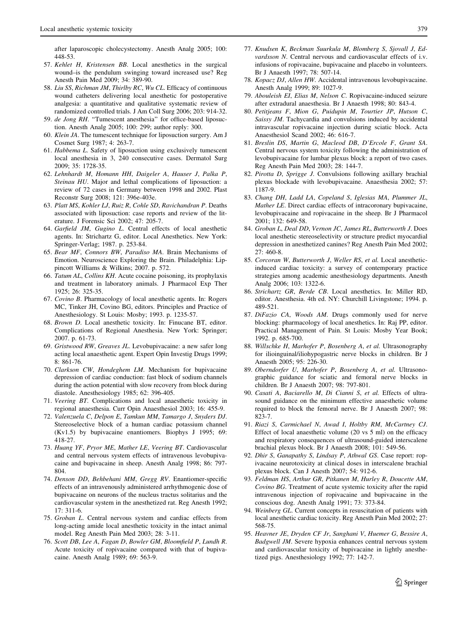<span id="page-11-0"></span>after laparoscopic cholecystectomy. Anesth Analg 2005; 100: 448-53.

- 57. Kehlet H, Kristensen BB. Local anesthetics in the surgical wound–is the pendulum swinging toward increased use? Reg Anesth Pain Med 2009; 34: 389-90.
- 58. Liu SS, Richman JM, Thirlby RC, Wu CL. Efficacy of continuous wound catheters delivering local anesthetic for postoperative analgesia: a quantitative and qualitative systematic review of randomized controlled trials. J Am Coll Surg 2006; 203: 914-32.
- 59. de Jong RH. ''Tumescent anesthesia'' for office-based liposuction. Anesth Analg 2005; 100: 299; author reply: 300.
- 60. Klein JA. The tumescent technique for liposuction surgery. Am J Cosmet Surg 1987; 4: 263-7.
- 61. Habbema L. Safety of liposuction using exclusively tumescent local anesthesia in 3, 240 consecutive cases. Dermatol Surg 2009; 35: 1728-35.
- 62. Lehnhardt M, Homann HH, Daigeler A, Hauser J, Palka P, Steinau HU. Major and lethal complications of liposuction: a review of 72 cases in Germany between 1998 and 2002. Plast Reconstr Surg 2008; 121: 396e-403e.
- 63. Platt MS, Kohler LJ, Ruiz R, Cohle SD, Ravichandran P. Deaths associated with liposuction: case reports and review of the literature. J Forensic Sci 2002; 47: 205-7.
- 64. Garfield JM, Gugino L. Central effects of local anesthetic agents. In: Strichartz G, editor. Local Anesthetics. New York: Springer-Verlag; 1987. p. 253-84.
- 65. Bear MF, Connors BW, Paradiso MA. Brain Mechanisms of Emotion. Neuroscience Exploring the Brain. Philadelphia: Lippincott Williams & Wilkins; 2007. p. 572.
- 66. Tatum AL, Collins KH. Acute cocaine poisoning, its prophylaxis and treatment in laboratory animals. J Pharmacol Exp Ther 1925; 26: 325-35.
- 67. Covino B. Pharmacology of local anesthetic agents. In: Rogers MC, Tinker JH, Covino BG, editors. Principles and Practice of Anesthesiology. St Louis: Mosby; 1993. p. 1235-57.
- 68. Brown D. Local anesthetic toxicity. In: Finucane BT, editor. Complications of Regional Anesthesia. New York: Springer; 2007. p. 61-73.
- 69. Gristwood RW, Greaves JL. Levobupivacaine: a new safer long acting local anaesthetic agent. Expert Opin Investig Drugs 1999; 8: 861-76.
- 70. Clarkson CW, Hondeghem LM. Mechanism for bupivacaine depression of cardiac conduction: fast block of sodium channels during the action potential with slow recovery from block during diastole. Anesthesiology 1985; 62: 396-405.
- 71. Veering BT. Complications and local anaesthetic toxicity in regional anaesthesia. Curr Opin Anaesthesiol 2003; 16: 455-9.
- 72. Valenzuela C, Delpon E, Tamkun MM, Tamargo J, Snyders DJ. Stereoselective block of a human cardiac potassium channel (Kv1.5) by bupivacaine enantiomers. Biophys J 1995; 69: 418-27.
- 73. Huang YF, Pryor ME, Mather LE, Veering BT. Cardiovascular and central nervous system effects of intravenous levobupivacaine and bupivacaine in sheep. Anesth Analg 1998; 86: 797- 804.
- 74. Denson DD, Behbehani MM, Gregg RV. Enantiomer-specific effects of an intravenously administered arrhythmogenic dose of bupivacaine on neurons of the nucleus tractus solitarius and the cardiovascular system in the anesthetized rat. Reg Anesth 1992; 17: 311-6.
- 75. Groban L. Central nervous system and cardiac effects from long-acting amide local anesthetic toxicity in the intact animal model. Reg Anesth Pain Med 2003; 28: 3-11.
- 76. Scott DB, Lee A, Fagan D, Bowler GM, Bloomfield P, Lundh R. Acute toxicity of ropivacaine compared with that of bupivacaine. Anesth Analg 1989; 69: 563-9.
- 77. Knudsen K, Beckman Suurkula M, Blomberg S, Sjovall J, Edvardsson N. Central nervous and cardiovascular effects of i.v. infusions of ropivacaine, bupivacaine and placebo in volunteers. Br J Anaesth 1997; 78: 507-14.
- 78. Kopacz DJ, Allen HW. Accidental intravenous levobupivacaine. Anesth Analg 1999; 89: 1027-9.
- 79. Abouleish EI, Elias M, Nelson C. Ropivacaine-induced seizure after extradural anaesthesia. Br J Anaesth 1998; 80: 843-4.
- 80. Petitjeans F, Mion G, Puidupin M, Tourtier JP, Hutson C, Saissy JM. Tachycardia and convulsions induced by accidental intravascular ropivacaine injection during sciatic block. Acta Anaesthesiol Scand 2002; 46: 616-7.
- 81. Breslin DS, Martin G, Macleod DB, D'Ercole F, Grant SA. Central nervous system toxicity following the administration of levobupivacaine for lumbar plexus block: a report of two cases. Reg Anesth Pain Med 2003; 28: 144-7.
- 82. Pirotta D, Sprigge J. Convulsions following axillary brachial plexus blockade with levobupivacaine. Anaesthesia 2002; 57: 1187-9.
- 83. Chang DH, Ladd LA, Copeland S, Iglesias MA, Plummer JL, Mather LE. Direct cardiac effects of intracoronary bupivacaine, levobupivacaine and ropivacaine in the sheep. Br J Pharmacol 2001; 132: 649-58.
- 84. Groban L, Deal DD, Vernon JC, James RL, Butterworth J. Does local anesthetic stereoselectivity or structure predict myocardial depression in anesthetized canines? Reg Anesth Pain Med 2002; 27: 460-8.
- 85. Corcoran W, Butterworth J, Weller RS, et al. Local anestheticinduced cardiac toxicity: a survey of contemporary practice strategies among academic anesthesiology departments. Anesth Analg 2006; 103: 1322-6.
- 86. Strichartz GR, Berde CB. Local anesthetics. In: Miller RD, editor. Anesthesia. 4th ed. NY: Churchill Livingstone; 1994. p. 489-521.
- 87. DiFazio CA, Woods AM. Drugs commonly used for nerve blocking: pharmacology of local anesthetics. In: Raj PP, editor. Practical Management of Pain. St Louis: Mosby Year Book; 1992. p. 685-700.
- 88. Willschke H, Marhofer P, Bosenberg A, et al. Ultrasonography for ilioinguinal/iliohypogastric nerve blocks in children. Br J Anaesth 2005; 95: 226-30.
- 89. Oberndorfer U, Marhofer P, Bosenberg A, et al. Ultrasonographic guidance for sciatic and femoral nerve blocks in children. Br J Anaesth 2007; 98: 797-801.
- 90. Casati A, Baciarello M, Di Cianni S, et al. Effects of ultrasound guidance on the minimum effective anaesthetic volume required to block the femoral nerve. Br J Anaesth 2007; 98: 823-7.
- 91. Riazi S, Carmichael N, Awad I, Holtby RM, McCartney CJ. Effect of local anaesthetic volume (20 vs 5 ml) on the efficacy and respiratory consequences of ultrasound-guided interscalene brachial plexus block. Br J Anaesth 2008; 101: 549-56.
- 92. Dhir S, Ganapathy S, Lindsay P, Athwal GS. Case report: ropivacaine neurotoxicity at clinical doses in interscalene brachial plexus block. Can J Anesth 2007; 54: 912-6.
- 93. Feldman HS, Arthur GR, Pitkanen M, Hurley R, Doucette AM, Covino BG. Treatment of acute systemic toxicity after the rapid intravenous injection of ropivacaine and bupivacaine in the conscious dog. Anesth Analg 1991; 73: 373-84.
- 94. Weinberg GL. Current concepts in resuscitation of patients with local anesthetic cardiac toxicity. Reg Anesth Pain Med 2002; 27: 568-75.
- 95. Heavner JE, Dryden CF Jr, Sanghani V, Huemer G, Bessire A, Badgwell JM. Severe hypoxia enhances central nervous system and cardiovascular toxicity of bupivacaine in lightly anesthetized pigs. Anesthesiology 1992; 77: 142-7.